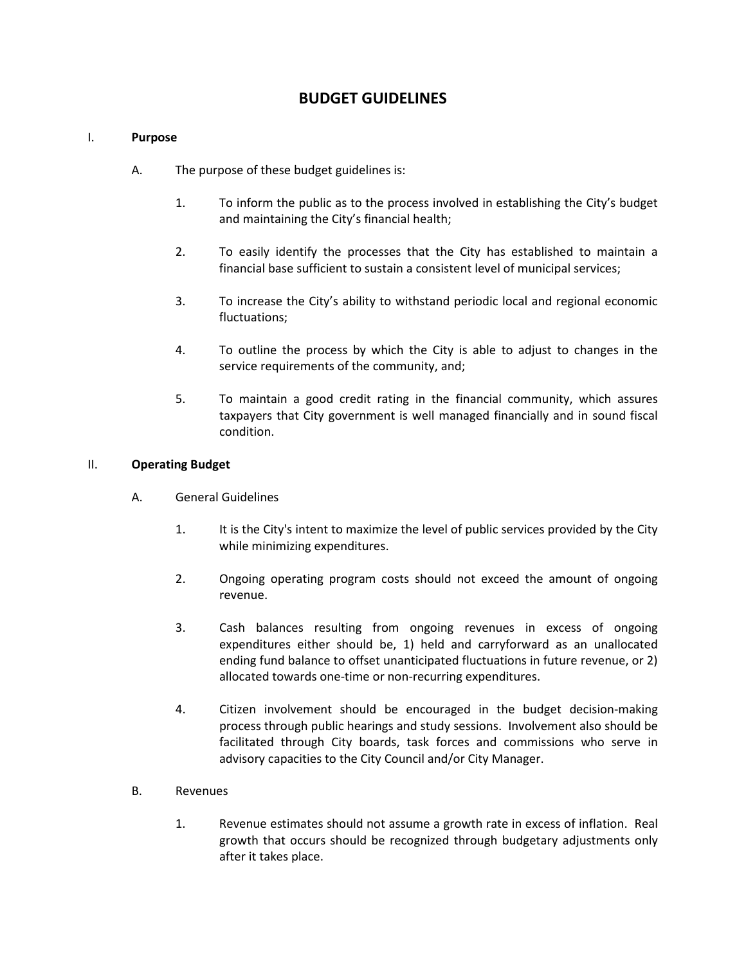# **BUDGET GUIDELINES**

### I. **Purpose**

- A. The purpose of these budget guidelines is:
	- 1. To inform the public as to the process involved in establishing the City's budget and maintaining the City's financial health;
	- 2. To easily identify the processes that the City has established to maintain a financial base sufficient to sustain a consistent level of municipal services;
	- 3. To increase the City's ability to withstand periodic local and regional economic fluctuations;
	- 4. To outline the process by which the City is able to adjust to changes in the service requirements of the community, and;
	- 5. To maintain a good credit rating in the financial community, which assures taxpayers that City government is well managed financially and in sound fiscal condition.

### II. **Operating Budget**

- A. General Guidelines
	- 1. It is the City's intent to maximize the level of public services provided by the City while minimizing expenditures.
	- 2. Ongoing operating program costs should not exceed the amount of ongoing revenue.
	- 3. Cash balances resulting from ongoing revenues in excess of ongoing expenditures either should be, 1) held and carryforward as an unallocated ending fund balance to offset unanticipated fluctuations in future revenue, or 2) allocated towards one-time or non-recurring expenditures.
	- 4. Citizen involvement should be encouraged in the budget decision-making process through public hearings and study sessions. Involvement also should be facilitated through City boards, task forces and commissions who serve in advisory capacities to the City Council and/or City Manager.
- B. Revenues
	- 1. Revenue estimates should not assume a growth rate in excess of inflation. Real growth that occurs should be recognized through budgetary adjustments only after it takes place.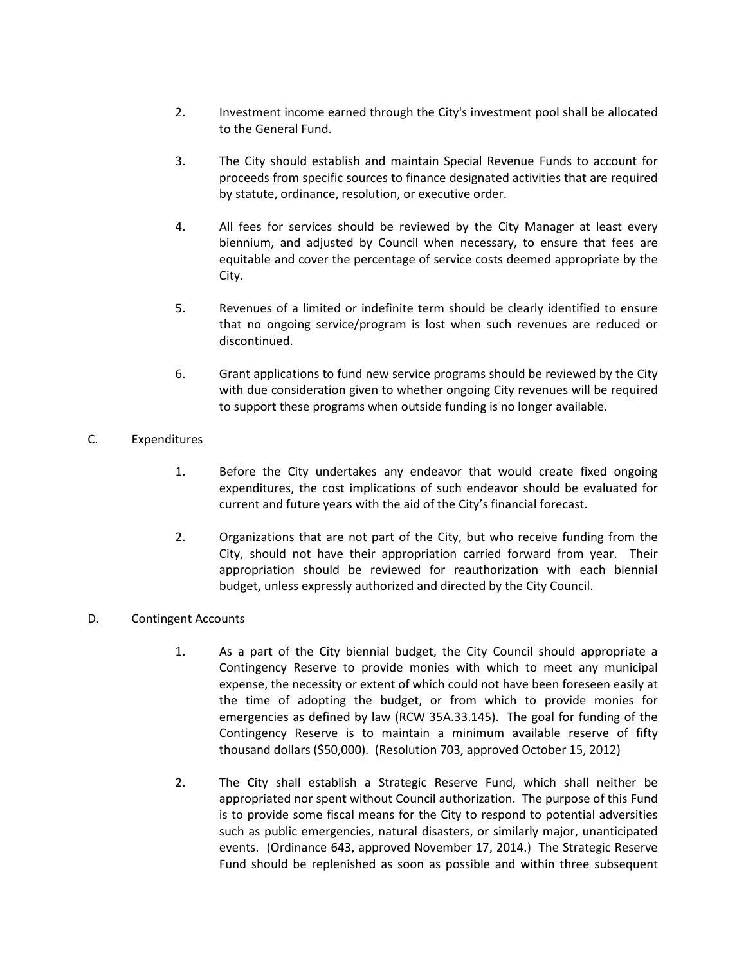- 2. Investment income earned through the City's investment pool shall be allocated to the General Fund.
- 3. The City should establish and maintain Special Revenue Funds to account for proceeds from specific sources to finance designated activities that are required by statute, ordinance, resolution, or executive order.
- 4. All fees for services should be reviewed by the City Manager at least every biennium, and adjusted by Council when necessary, to ensure that fees are equitable and cover the percentage of service costs deemed appropriate by the City.
- 5. Revenues of a limited or indefinite term should be clearly identified to ensure that no ongoing service/program is lost when such revenues are reduced or discontinued.
- 6. Grant applications to fund new service programs should be reviewed by the City with due consideration given to whether ongoing City revenues will be required to support these programs when outside funding is no longer available.

# C. Expenditures

- 1. Before the City undertakes any endeavor that would create fixed ongoing expenditures, the cost implications of such endeavor should be evaluated for current and future years with the aid of the City's financial forecast.
- 2. Organizations that are not part of the City, but who receive funding from the City, should not have their appropriation carried forward from year. Their appropriation should be reviewed for reauthorization with each biennial budget, unless expressly authorized and directed by the City Council.

## D. Contingent Accounts

- 1. As a part of the City biennial budget, the City Council should appropriate a Contingency Reserve to provide monies with which to meet any municipal expense, the necessity or extent of which could not have been foreseen easily at the time of adopting the budget, or from which to provide monies for emergencies as defined by law (RCW 35A.33.145). The goal for funding of the Contingency Reserve is to maintain a minimum available reserve of fifty thousand dollars (\$50,000). (Resolution 703, approved October 15, 2012)
- 2. The City shall establish a Strategic Reserve Fund, which shall neither be appropriated nor spent without Council authorization. The purpose of this Fund is to provide some fiscal means for the City to respond to potential adversities such as public emergencies, natural disasters, or similarly major, unanticipated events. (Ordinance 643, approved November 17, 2014.) The Strategic Reserve Fund should be replenished as soon as possible and within three subsequent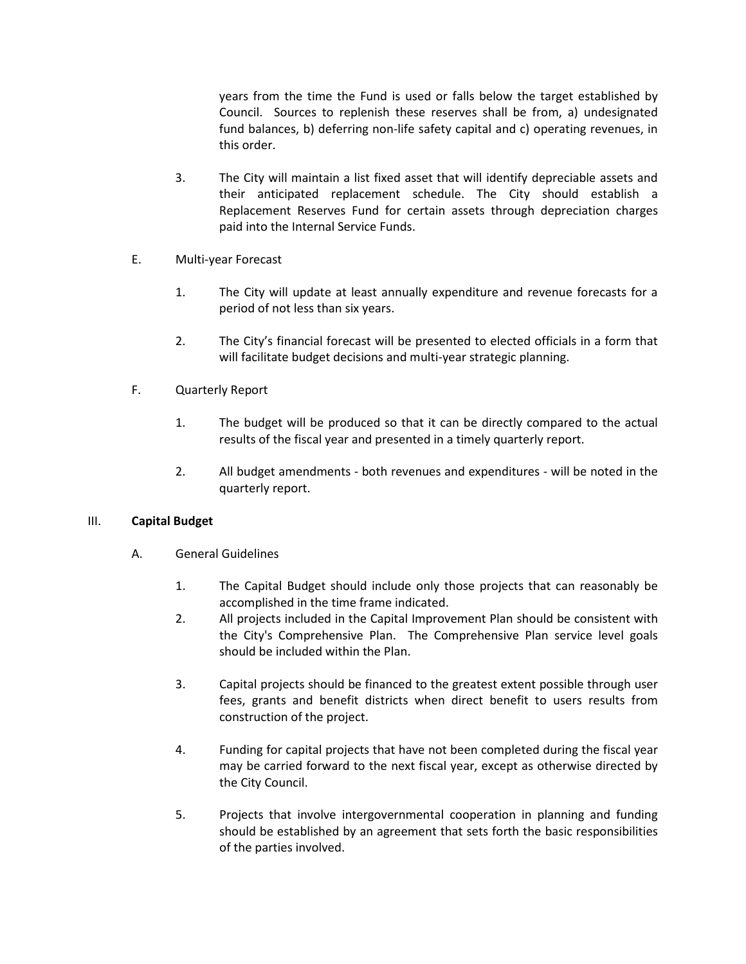years from the time the Fund is used or falls below the target established by Council. Sources to replenish these reserves shall be from, a) undesignated fund balances, b) deferring non-life safety capital and c) operating revenues, in this order.

- 3. The City will maintain a list fixed asset that will identify depreciable assets and their anticipated replacement schedule. The City should establish a Replacement Reserves Fund for certain assets through depreciation charges paid into the Internal Service Funds.
- E. Multi-year Forecast
	- 1. The City will update at least annually expenditure and revenue forecasts for a period of not less than six years.
	- 2. The City's financial forecast will be presented to elected officials in a form that will facilitate budget decisions and multi-year strategic planning.
- F. Quarterly Report
	- 1. The budget will be produced so that it can be directly compared to the actual results of the fiscal year and presented in a timely quarterly report.
	- 2. All budget amendments both revenues and expenditures will be noted in the quarterly report.

## III. **Capital Budget**

- A. General Guidelines
	- 1. The Capital Budget should include only those projects that can reasonably be accomplished in the time frame indicated.
	- 2. All projects included in the Capital Improvement Plan should be consistent with the City's Comprehensive Plan. The Comprehensive Plan service level goals should be included within the Plan.
	- 3. Capital projects should be financed to the greatest extent possible through user fees, grants and benefit districts when direct benefit to users results from construction of the project.
	- 4. Funding for capital projects that have not been completed during the fiscal year may be carried forward to the next fiscal year, except as otherwise directed by the City Council.
	- 5. Projects that involve intergovernmental cooperation in planning and funding should be established by an agreement that sets forth the basic responsibilities of the parties involved.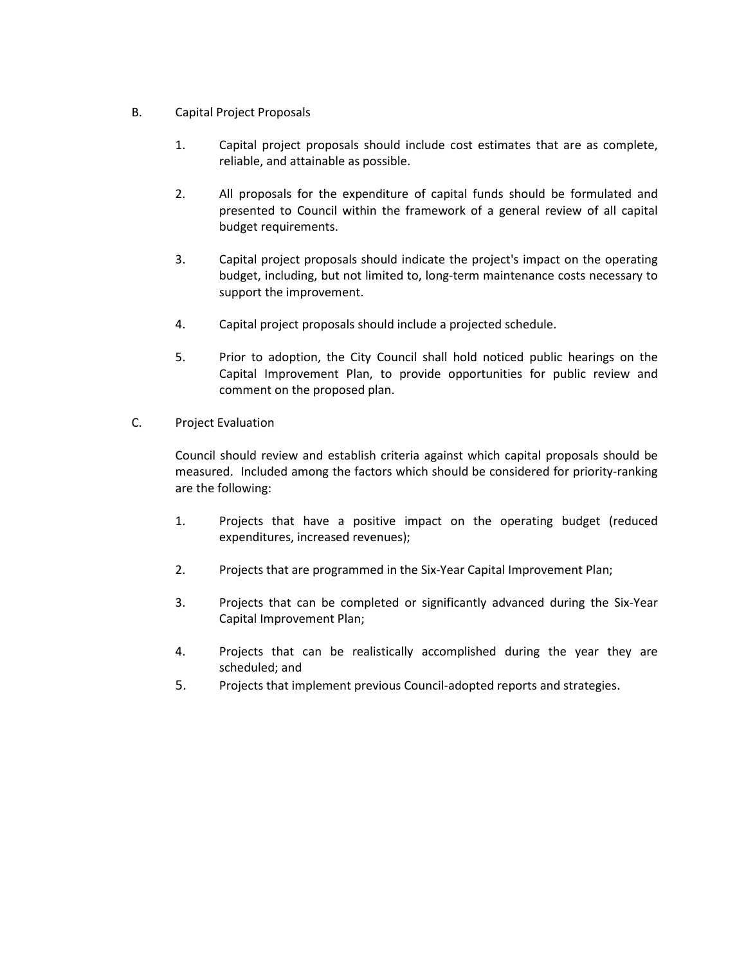- B. Capital Project Proposals
	- 1. Capital project proposals should include cost estimates that are as complete, reliable, and attainable as possible.
	- 2. All proposals for the expenditure of capital funds should be formulated and presented to Council within the framework of a general review of all capital budget requirements.
	- 3. Capital project proposals should indicate the project's impact on the operating budget, including, but not limited to, long-term maintenance costs necessary to support the improvement.
	- 4. Capital project proposals should include a projected schedule.
	- 5. Prior to adoption, the City Council shall hold noticed public hearings on the Capital Improvement Plan, to provide opportunities for public review and comment on the proposed plan.
- C. Project Evaluation

Council should review and establish criteria against which capital proposals should be measured. Included among the factors which should be considered for priority-ranking are the following:

- 1. Projects that have a positive impact on the operating budget (reduced expenditures, increased revenues);
- 2. Projects that are programmed in the Six-Year Capital Improvement Plan;
- 3. Projects that can be completed or significantly advanced during the Six-Year Capital Improvement Plan;
- 4. Projects that can be realistically accomplished during the year they are scheduled; and
- 5. Projects that implement previous Council-adopted reports and strategies.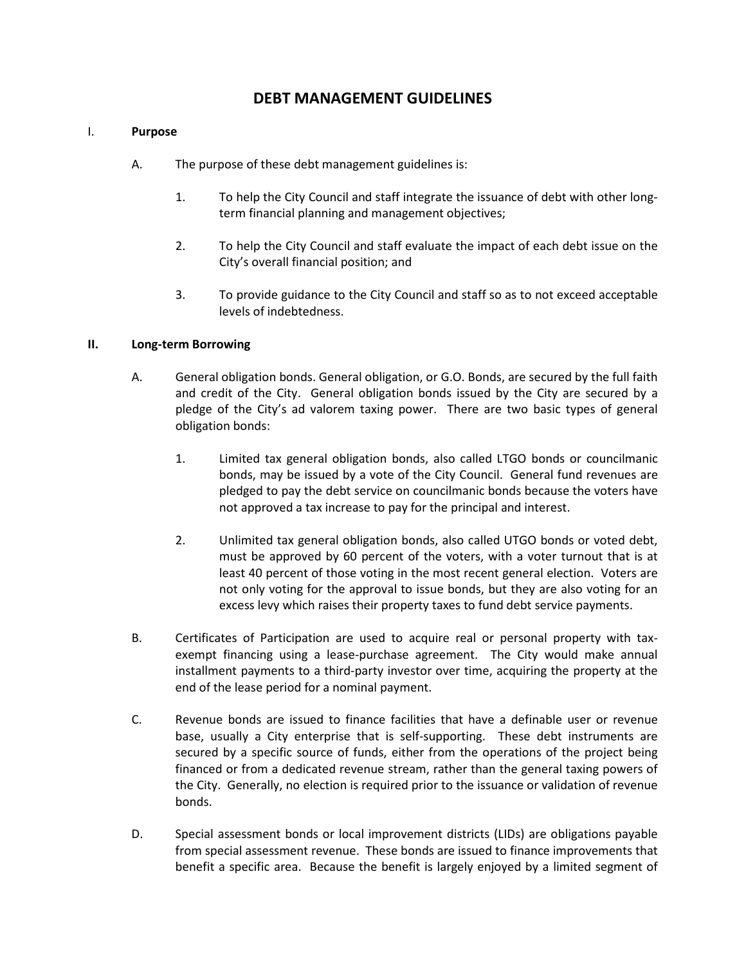# **DEBT MANAGEMENT GUIDELINES**

### I. **Purpose**

- A. The purpose of these debt management guidelines is:
	- 1. To help the City Council and staff integrate the issuance of debt with other longterm financial planning and management objectives;
	- 2. To help the City Council and staff evaluate the impact of each debt issue on the City's overall financial position; and
	- 3. To provide guidance to the City Council and staff so as to not exceed acceptable levels of indebtedness.

### **II. Long-term Borrowing**

- A. General obligation bonds. General obligation, or G.O. Bonds, are secured by the full faith and credit of the City. General obligation bonds issued by the City are secured by a pledge of the City's ad valorem taxing power. There are two basic types of general obligation bonds:
	- 1. Limited tax general obligation bonds, also called LTGO bonds or councilmanic bonds, may be issued by a vote of the City Council. General fund revenues are pledged to pay the debt service on councilmanic bonds because the voters have not approved a tax increase to pay for the principal and interest.
	- 2. Unlimited tax general obligation bonds, also called UTGO bonds or voted debt, must be approved by 60 percent of the voters, with a voter turnout that is at least 40 percent of those voting in the most recent general election. Voters are not only voting for the approval to issue bonds, but they are also voting for an excess levy which raises their property taxes to fund debt service payments.
- B. Certificates of Participation are used to acquire real or personal property with taxexempt financing using a lease-purchase agreement. The City would make annual installment payments to a third-party investor over time, acquiring the property at the end of the lease period for a nominal payment.
- C. Revenue bonds are issued to finance facilities that have a definable user or revenue base, usually a City enterprise that is self-supporting. These debt instruments are secured by a specific source of funds, either from the operations of the project being financed or from a dedicated revenue stream, rather than the general taxing powers of the City. Generally, no election is required prior to the issuance or validation of revenue bonds.
- D. Special assessment bonds or local improvement districts (LIDs) are obligations payable from special assessment revenue. These bonds are issued to finance improvements that benefit a specific area. Because the benefit is largely enjoyed by a limited segment of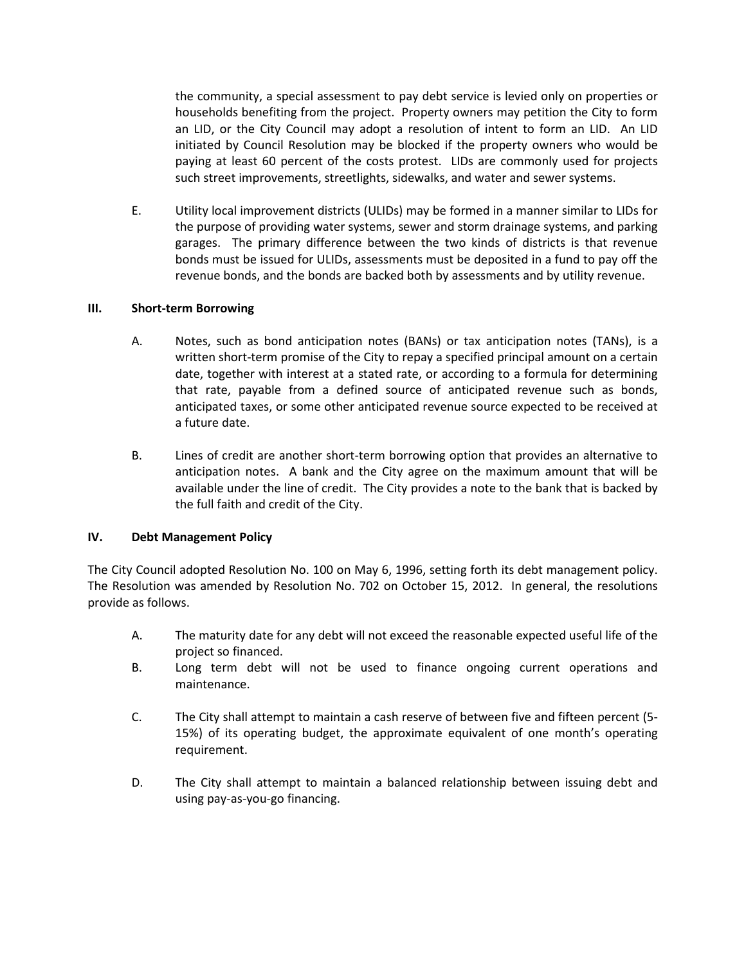the community, a special assessment to pay debt service is levied only on properties or households benefiting from the project. Property owners may petition the City to form an LID, or the City Council may adopt a resolution of intent to form an LID. An LID initiated by Council Resolution may be blocked if the property owners who would be paying at least 60 percent of the costs protest. LIDs are commonly used for projects such street improvements, streetlights, sidewalks, and water and sewer systems.

E. Utility local improvement districts (ULIDs) may be formed in a manner similar to LIDs for the purpose of providing water systems, sewer and storm drainage systems, and parking garages. The primary difference between the two kinds of districts is that revenue bonds must be issued for ULIDs, assessments must be deposited in a fund to pay off the revenue bonds, and the bonds are backed both by assessments and by utility revenue.

## **III. Short-term Borrowing**

- A. Notes, such as bond anticipation notes (BANs) or tax anticipation notes (TANs), is a written short-term promise of the City to repay a specified principal amount on a certain date, together with interest at a stated rate, or according to a formula for determining that rate, payable from a defined source of anticipated revenue such as bonds, anticipated taxes, or some other anticipated revenue source expected to be received at a future date.
- B. Lines of credit are another short-term borrowing option that provides an alternative to anticipation notes. A bank and the City agree on the maximum amount that will be available under the line of credit. The City provides a note to the bank that is backed by the full faith and credit of the City.

## **IV. Debt Management Policy**

The City Council adopted Resolution No. 100 on May 6, 1996, setting forth its debt management policy. The Resolution was amended by Resolution No. 702 on October 15, 2012. In general, the resolutions provide as follows.

- A. The maturity date for any debt will not exceed the reasonable expected useful life of the project so financed.
- B. Long term debt will not be used to finance ongoing current operations and maintenance.
- C. The City shall attempt to maintain a cash reserve of between five and fifteen percent (5- 15%) of its operating budget, the approximate equivalent of one month's operating requirement.
- D. The City shall attempt to maintain a balanced relationship between issuing debt and using pay-as-you-go financing.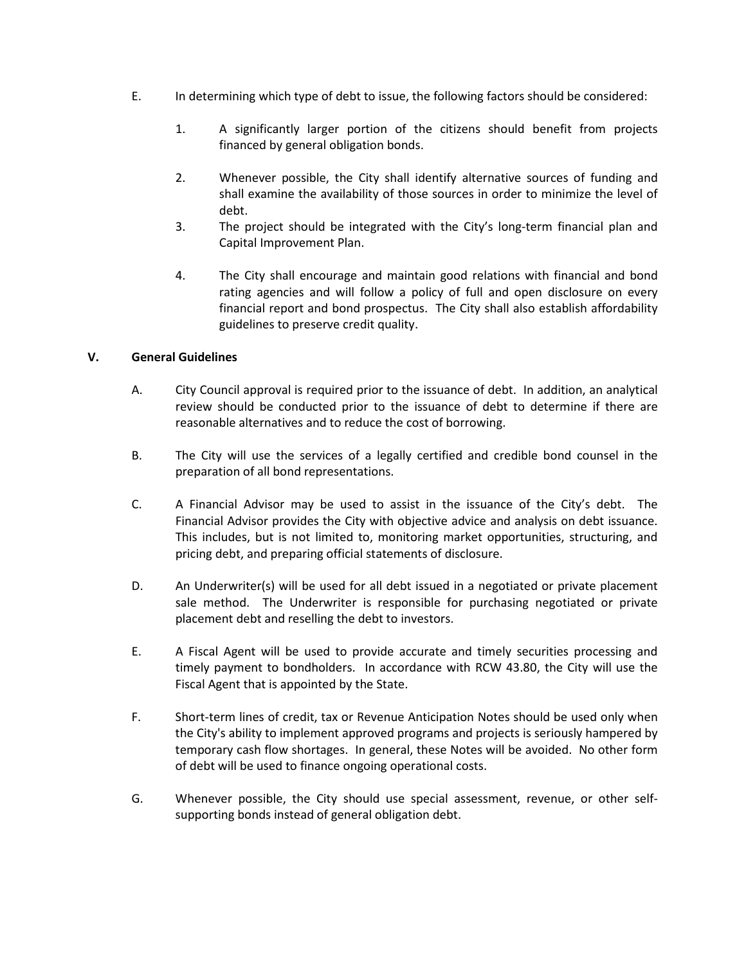- E. In determining which type of debt to issue, the following factors should be considered:
	- 1. A significantly larger portion of the citizens should benefit from projects financed by general obligation bonds.
	- 2. Whenever possible, the City shall identify alternative sources of funding and shall examine the availability of those sources in order to minimize the level of debt.
	- 3. The project should be integrated with the City's long-term financial plan and Capital Improvement Plan.
	- 4. The City shall encourage and maintain good relations with financial and bond rating agencies and will follow a policy of full and open disclosure on every financial report and bond prospectus. The City shall also establish affordability guidelines to preserve credit quality.

# **V. General Guidelines**

- A. City Council approval is required prior to the issuance of debt. In addition, an analytical review should be conducted prior to the issuance of debt to determine if there are reasonable alternatives and to reduce the cost of borrowing.
- B. The City will use the services of a legally certified and credible bond counsel in the preparation of all bond representations.
- C. A Financial Advisor may be used to assist in the issuance of the City's debt. The Financial Advisor provides the City with objective advice and analysis on debt issuance. This includes, but is not limited to, monitoring market opportunities, structuring, and pricing debt, and preparing official statements of disclosure.
- D. An Underwriter(s) will be used for all debt issued in a negotiated or private placement sale method. The Underwriter is responsible for purchasing negotiated or private placement debt and reselling the debt to investors.
- E. A Fiscal Agent will be used to provide accurate and timely securities processing and timely payment to bondholders. In accordance with RCW 43.80, the City will use the Fiscal Agent that is appointed by the State.
- F. Short-term lines of credit, tax or Revenue Anticipation Notes should be used only when the City's ability to implement approved programs and projects is seriously hampered by temporary cash flow shortages. In general, these Notes will be avoided. No other form of debt will be used to finance ongoing operational costs.
- G. Whenever possible, the City should use special assessment, revenue, or other selfsupporting bonds instead of general obligation debt.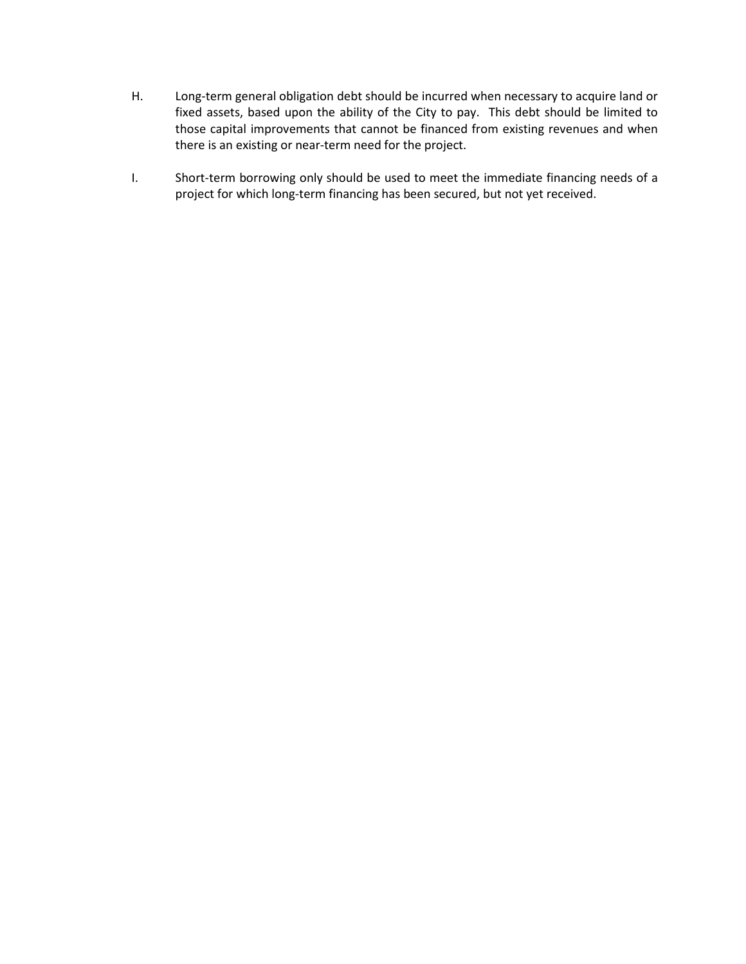- H. Long-term general obligation debt should be incurred when necessary to acquire land or fixed assets, based upon the ability of the City to pay. This debt should be limited to those capital improvements that cannot be financed from existing revenues and when there is an existing or near-term need for the project.
- I. Short-term borrowing only should be used to meet the immediate financing needs of a project for which long-term financing has been secured, but not yet received.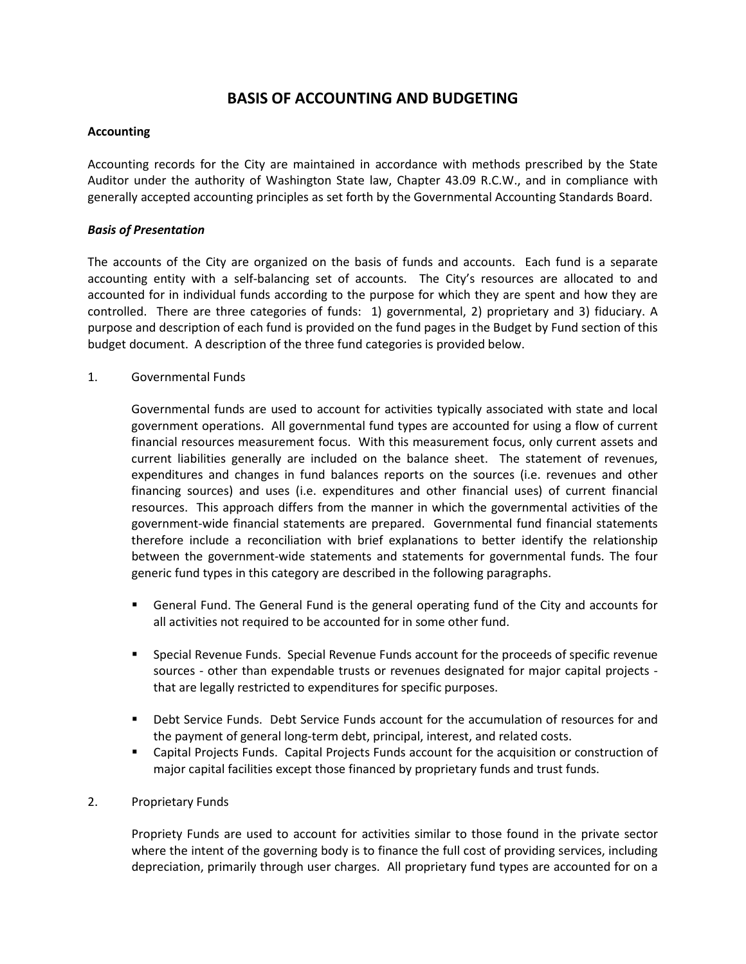# **BASIS OF ACCOUNTING AND BUDGETING**

## **Accounting**

Accounting records for the City are maintained in accordance with methods prescribed by the State Auditor under the authority of Washington State law, Chapter 43.09 R.C.W., and in compliance with generally accepted accounting principles as set forth by the Governmental Accounting Standards Board.

## *Basis of Presentation*

The accounts of the City are organized on the basis of funds and accounts. Each fund is a separate accounting entity with a self-balancing set of accounts. The City's resources are allocated to and accounted for in individual funds according to the purpose for which they are spent and how they are controlled. There are three categories of funds: 1) governmental, 2) proprietary and 3) fiduciary. A purpose and description of each fund is provided on the fund pages in the Budget by Fund section of this budget document. A description of the three fund categories is provided below.

# 1. Governmental Funds

Governmental funds are used to account for activities typically associated with state and local government operations. All governmental fund types are accounted for using a flow of current financial resources measurement focus. With this measurement focus, only current assets and current liabilities generally are included on the balance sheet. The statement of revenues, expenditures and changes in fund balances reports on the sources (i.e. revenues and other financing sources) and uses (i.e. expenditures and other financial uses) of current financial resources. This approach differs from the manner in which the governmental activities of the government-wide financial statements are prepared. Governmental fund financial statements therefore include a reconciliation with brief explanations to better identify the relationship between the government-wide statements and statements for governmental funds. The four generic fund types in this category are described in the following paragraphs.

- General Fund. The General Fund is the general operating fund of the City and accounts for all activities not required to be accounted for in some other fund.
- Special Revenue Funds.Special Revenue Funds account for the proceeds of specific revenue sources - other than expendable trusts or revenues designated for major capital projects that are legally restricted to expenditures for specific purposes.
- Debt Service Funds. Debt Service Funds account for the accumulation of resources for and the payment of general long-term debt, principal, interest, and related costs.
- Capital Projects Funds. Capital Projects Funds account for the acquisition or construction of major capital facilities except those financed by proprietary funds and trust funds.

## 2. Proprietary Funds

Propriety Funds are used to account for activities similar to those found in the private sector where the intent of the governing body is to finance the full cost of providing services, including depreciation, primarily through user charges. All proprietary fund types are accounted for on a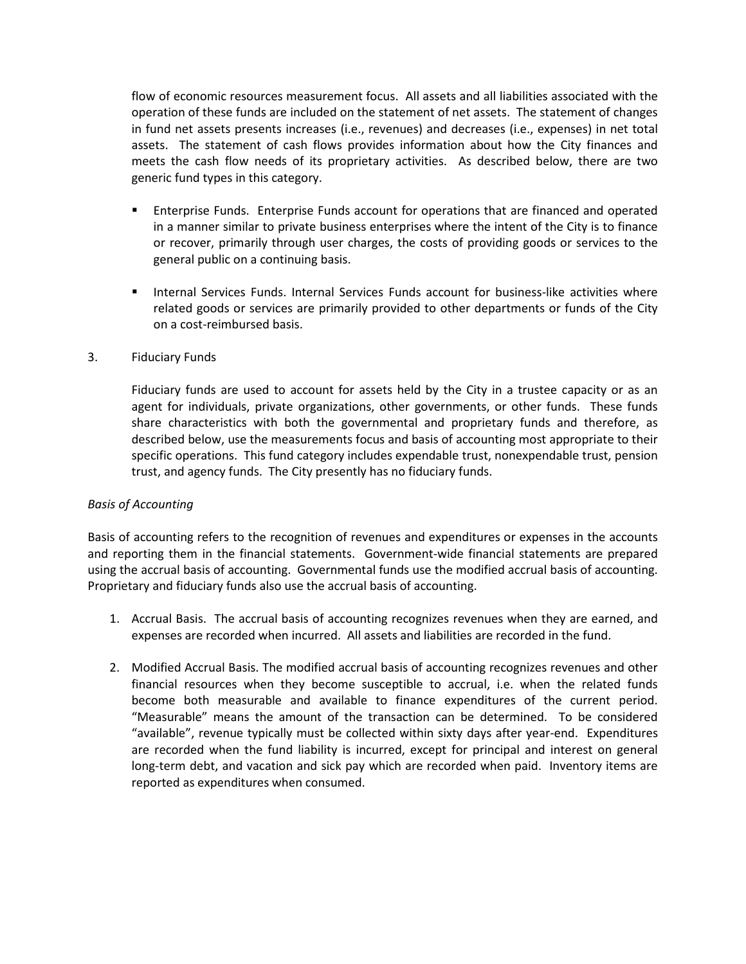flow of economic resources measurement focus. All assets and all liabilities associated with the operation of these funds are included on the statement of net assets. The statement of changes in fund net assets presents increases (i.e., revenues) and decreases (i.e., expenses) in net total assets. The statement of cash flows provides information about how the City finances and meets the cash flow needs of its proprietary activities. As described below, there are two generic fund types in this category.

- Enterprise Funds. Enterprise Funds account for operations that are financed and operated in a manner similar to private business enterprises where the intent of the City is to finance or recover, primarily through user charges, the costs of providing goods or services to the general public on a continuing basis.
- Internal Services Funds. Internal Services Funds account for business-like activities where related goods or services are primarily provided to other departments or funds of the City on a cost-reimbursed basis.

## 3. Fiduciary Funds

Fiduciary funds are used to account for assets held by the City in a trustee capacity or as an agent for individuals, private organizations, other governments, or other funds. These funds share characteristics with both the governmental and proprietary funds and therefore, as described below, use the measurements focus and basis of accounting most appropriate to their specific operations. This fund category includes expendable trust, nonexpendable trust, pension trust, and agency funds. The City presently has no fiduciary funds.

## *Basis of Accounting*

Basis of accounting refers to the recognition of revenues and expenditures or expenses in the accounts and reporting them in the financial statements. Government-wide financial statements are prepared using the accrual basis of accounting. Governmental funds use the modified accrual basis of accounting. Proprietary and fiduciary funds also use the accrual basis of accounting.

- 1. Accrual Basis. The accrual basis of accounting recognizes revenues when they are earned, and expenses are recorded when incurred. All assets and liabilities are recorded in the fund.
- 2. Modified Accrual Basis. The modified accrual basis of accounting recognizes revenues and other financial resources when they become susceptible to accrual, i.e. when the related funds become both measurable and available to finance expenditures of the current period. "Measurable" means the amount of the transaction can be determined. To be considered "available", revenue typically must be collected within sixty days after year-end. Expenditures are recorded when the fund liability is incurred, except for principal and interest on general long-term debt, and vacation and sick pay which are recorded when paid. Inventory items are reported as expenditures when consumed.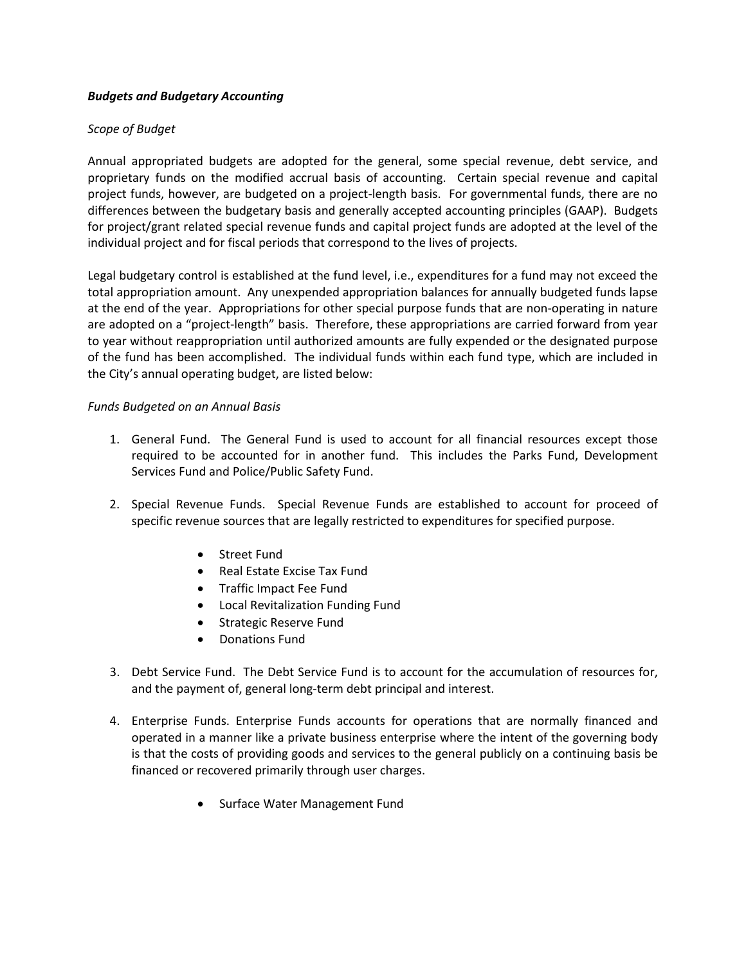## *Budgets and Budgetary Accounting*

### *Scope of Budget*

Annual appropriated budgets are adopted for the general, some special revenue, debt service, and proprietary funds on the modified accrual basis of accounting. Certain special revenue and capital project funds, however, are budgeted on a project-length basis. For governmental funds, there are no differences between the budgetary basis and generally accepted accounting principles (GAAP). Budgets for project/grant related special revenue funds and capital project funds are adopted at the level of the individual project and for fiscal periods that correspond to the lives of projects.

Legal budgetary control is established at the fund level, i.e., expenditures for a fund may not exceed the total appropriation amount. Any unexpended appropriation balances for annually budgeted funds lapse at the end of the year. Appropriations for other special purpose funds that are non-operating in nature are adopted on a "project-length" basis. Therefore, these appropriations are carried forward from year to year without reappropriation until authorized amounts are fully expended or the designated purpose of the fund has been accomplished. The individual funds within each fund type, which are included in the City's annual operating budget, are listed below:

#### *Funds Budgeted on an Annual Basis*

- 1. General Fund. The General Fund is used to account for all financial resources except those required to be accounted for in another fund. This includes the Parks Fund, Development Services Fund and Police/Public Safety Fund.
- 2. Special Revenue Funds. Special Revenue Funds are established to account for proceed of specific revenue sources that are legally restricted to expenditures for specified purpose.
	- Street Fund
	- Real Estate Excise Tax Fund
	- Traffic Impact Fee Fund
	- Local Revitalization Funding Fund
	- Strategic Reserve Fund
	- Donations Fund
- 3. Debt Service Fund. The Debt Service Fund is to account for the accumulation of resources for, and the payment of, general long-term debt principal and interest.
- 4. Enterprise Funds. Enterprise Funds accounts for operations that are normally financed and operated in a manner like a private business enterprise where the intent of the governing body is that the costs of providing goods and services to the general publicly on a continuing basis be financed or recovered primarily through user charges.
	- Surface Water Management Fund